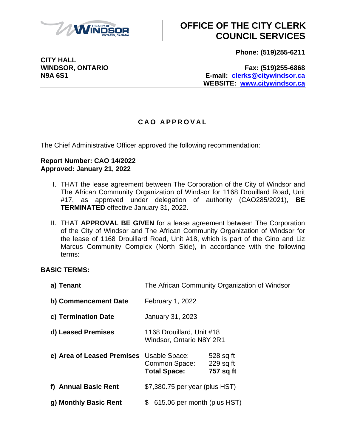

**Phone: (519)255-6211**

**CITY HALL**

**WINDSOR, ONTARIO Fax: (519)255-6868 N9A 6S1 E-mail: [clerks@citywindsor.ca](mailto:clerks@citywindsor.ca) WEBSITE: [www.citywindsor.ca](http://www.citywindsor.ca/)**

#### **C A O A P P R O V A L**

The Chief Administrative Officer approved the following recommendation:

#### **Report Number: CAO 14/2022 Approved: January 21, 2022**

- I. THAT the lease agreement between The Corporation of the City of Windsor and The African Community Organization of Windsor for 1168 Drouillard Road, Unit #17, as approved under delegation of authority (CAO285/2021), **BE TERMINATED** effective January 31, 2022.
- II. THAT **APPROVAL BE GIVEN** for a lease agreement between The Corporation of the City of Windsor and The African Community Organization of Windsor for the lease of 1168 Drouillard Road, Unit #18, which is part of the Gino and Liz Marcus Community Complex (North Side), in accordance with the following terms:

#### **BASIC TERMS:**

| a) Tenant                  | The African Community Organization of Windsor                |                                       |  |  |  |
|----------------------------|--------------------------------------------------------------|---------------------------------------|--|--|--|
| b) Commencement Date       | February 1, 2022                                             |                                       |  |  |  |
| c) Termination Date        | <b>January 31, 2023</b>                                      |                                       |  |  |  |
| d) Leased Premises         | 1168 Drouillard, Unit #18<br><b>Windsor, Ontario N8Y 2R1</b> |                                       |  |  |  |
| e) Area of Leased Premises | Usable Space:<br>Common Space:<br><b>Total Space:</b>        | 528 sq ft<br>$229$ sq ft<br>757 sq ft |  |  |  |
| f) Annual Basic Rent       | \$7,380.75 per year (plus HST)                               |                                       |  |  |  |
| g) Monthly Basic Rent      | 615.06 per month (plus HST)<br>\$                            |                                       |  |  |  |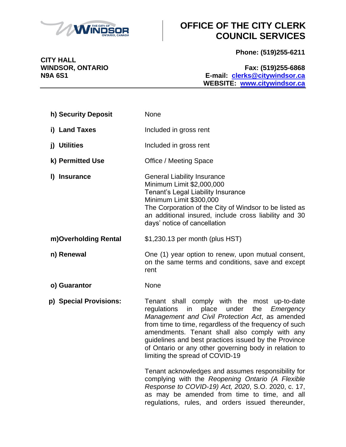

**Phone: (519)255-6211**

**WINDSOR, ONTARIO Fax: (519)255-6868 N9A 6S1 E-mail: [clerks@citywindsor.ca](mailto:clerks@citywindsor.ca) WEBSITE: [www.citywindsor.ca](http://www.citywindsor.ca/)**

| h) Security Deposit    | None                                                                                                                                                                                                                                                                                                                                                                                                                      |
|------------------------|---------------------------------------------------------------------------------------------------------------------------------------------------------------------------------------------------------------------------------------------------------------------------------------------------------------------------------------------------------------------------------------------------------------------------|
| i) Land Taxes          | Included in gross rent                                                                                                                                                                                                                                                                                                                                                                                                    |
| j) Utilities           | Included in gross rent                                                                                                                                                                                                                                                                                                                                                                                                    |
| k) Permitted Use       | Office / Meeting Space                                                                                                                                                                                                                                                                                                                                                                                                    |
| I) Insurance           | <b>General Liability Insurance</b><br>Minimum Limit \$2,000,000<br>Tenant's Legal Liability Insurance<br>Minimum Limit \$300,000<br>The Corporation of the City of Windsor to be listed as<br>an additional insured, include cross liability and 30<br>days' notice of cancellation                                                                                                                                       |
| m)Overholding Rental   | \$1,230.13 per month (plus HST)                                                                                                                                                                                                                                                                                                                                                                                           |
| n) Renewal             | One (1) year option to renew, upon mutual consent,<br>on the same terms and conditions, save and except<br>rent                                                                                                                                                                                                                                                                                                           |
| o) Guarantor           | None                                                                                                                                                                                                                                                                                                                                                                                                                      |
| p) Special Provisions: | Tenant shall comply with the most up-to-date<br>place<br>under<br>regulations<br>in<br>the<br>Emergency<br>Management and Civil Protection Act, as amended<br>from time to time, regardless of the frequency of such<br>amendments. Tenant shall also comply with any<br>guidelines and best practices issued by the Province<br>of Ontario or any other governing body in relation to<br>limiting the spread of COVID-19 |
|                        | Tenant acknowledges and assumes responsibility for<br>complying with the Reopening Ontario (A Flexible<br>Response to COVID-19) Act, 2020, S.O. 2020, c. 17,<br>as may be amended from time to time, and all<br>regulations, rules, and orders issued thereunder,                                                                                                                                                         |

**CITY HALL<br>WINDSOR, ONTARIO**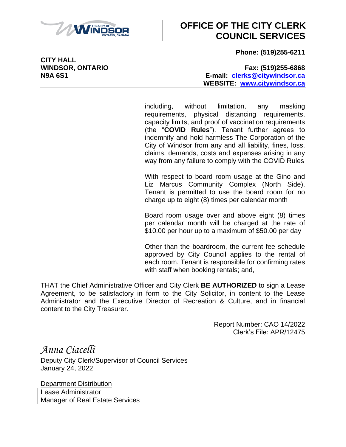

**Phone: (519)255-6211**

**CITY HALL**

#### **WINDSOR, ONTARIO Fax: (519)255-6868 N9A 6S1 E-mail: [clerks@citywindsor.ca](mailto:clerks@citywindsor.ca) WEBSITE: [www.citywindsor.ca](http://www.citywindsor.ca/)**

including, without limitation, any masking requirements, physical distancing requirements, capacity limits, and proof of vaccination requirements (the "**COVID Rules**"). Tenant further agrees to indemnify and hold harmless The Corporation of the City of Windsor from any and all liability, fines, loss, claims, demands, costs and expenses arising in any way from any failure to comply with the COVID Rules

With respect to board room usage at the Gino and Liz Marcus Community Complex (North Side), Tenant is permitted to use the board room for no charge up to eight (8) times per calendar month

Board room usage over and above eight (8) times per calendar month will be charged at the rate of \$10.00 per hour up to a maximum of \$50.00 per day

Other than the boardroom, the current fee schedule approved by City Council applies to the rental of each room. Tenant is responsible for confirming rates with staff when booking rentals; and,

THAT the Chief Administrative Officer and City Clerk **BE AUTHORIZED** to sign a Lease Agreement, to be satisfactory in form to the City Solicitor, in content to the Lease Administrator and the Executive Director of Recreation & Culture, and in financial content to the City Treasurer.

> Report Number: CAO 14/2022 Clerk's File: APR/12475

*Anna Ciacelli* Deputy City Clerk/Supervisor of Council Services January 24, 2022

Department Distribution Lease Administrator Manager of Real Estate Services